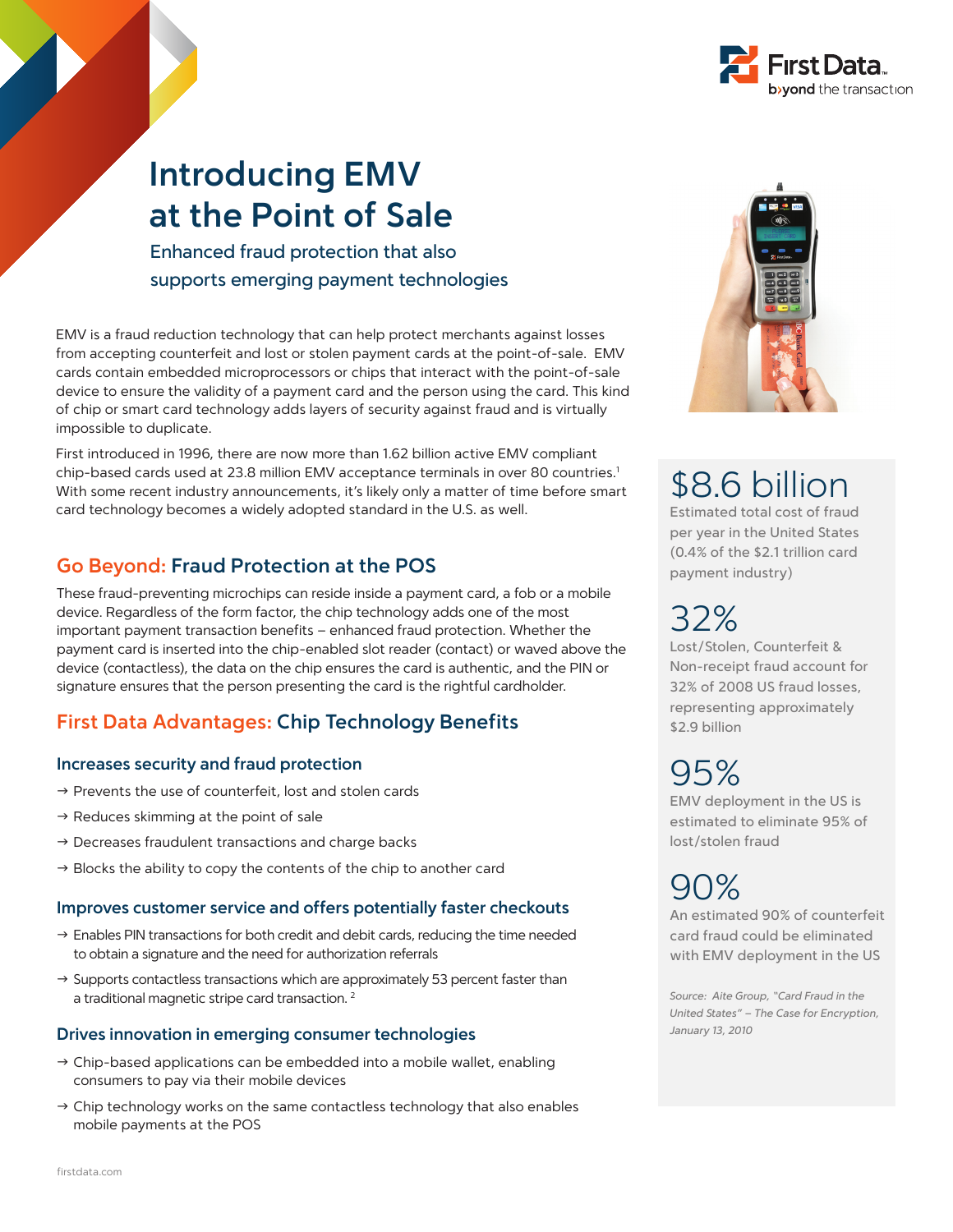

## **Introducing EMV at the Point of Sale**

Enhanced fraud protection that also supports emerging payment technologies

EMV is a fraud reduction technology that can help protect merchants against losses from accepting counterfeit and lost or stolen payment cards at the point-of-sale. EMV cards contain embedded microprocessors or chips that interact with the point-of-sale device to ensure the validity of a payment card and the person using the card. This kind of chip or smart card technology adds layers of security against fraud and is virtually impossible to duplicate.

First introduced in 1996, there are now more than 1.62 billion active EMV compliant chip-based cards used at 23.8 million EMV acceptance terminals in over 80 countries.<sup>1</sup> With some recent industry announcements, it's likely only a matter of time before smart card technology becomes a widely adopted standard in the U.S. as well.

## **Go Beyond: Fraud Protection at the POS**

These fraud-preventing microchips can reside inside a payment card, a fob or a mobile device. Regardless of the form factor, the chip technology adds one of the most important payment transaction benefits – enhanced fraud protection. Whether the payment card is inserted into the chip-enabled slot reader (contact) or waved above the device (contactless), the data on the chip ensures the card is authentic, and the PIN or signature ensures that the person presenting the card is the rightful cardholder.

## **First Data Advantages: Chip Technology Benefits**

### **Increases security and fraud protection**

- $\rightarrow$  Prevents the use of counterfeit, lost and stolen cards
- $\rightarrow$  Reduces skimming at the point of sale
- $\rightarrow$  Decreases fraudulent transactions and charge backs
- $\rightarrow$  Blocks the ability to copy the contents of the chip to another card

### **Improves customer service and offers potentially faster checkouts**

- $\rightarrow$  Enables PIN transactions for both credit and debit cards, reducing the time needed to obtain a signature and the need for authorization referrals
- $\rightarrow$  Supports contactless transactions which are approximately 53 percent faster than a traditional magnetic stripe card transaction.<sup>2</sup>

### **Drives innovation in emerging consumer technologies**

- $\rightarrow$  Chip-based applications can be embedded into a mobile wallet, enabling consumers to pay via their mobile devices
- $\rightarrow$  Chip technology works on the same contactless technology that also enables mobile payments at the POS



# \$8.6 billion

Estimated total cost of fraud per year in the United States (0.4% of the \$2.1 trillion card payment industry)

# 32%

Lost/Stolen, Counterfeit & Non-receipt fraud account for 32% of 2008 US fraud losses, representing approximately \$2.9 billion

# 95%

EMV deployment in the US is estimated to eliminate 95% of lost/stolen fraud

# 90%

An estimated 90% of counterfeit card fraud could be eliminated with EMV deployment in the US

*Source: Aite Group, "Card Fraud in the United States" – The Case for Encryption, January 13, 2010*